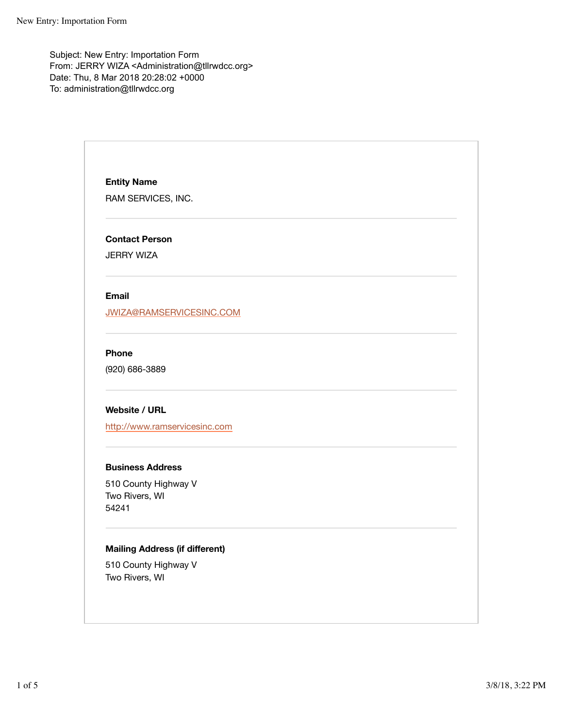Subject: New Entry: Importation Form From: JERRY WIZA <Administration@tllrwdcc.org> Date: Thu, 8 Mar 2018 20:28:02 +0000 To: administration@tllrwdcc.org

> **Entity Name** RAM SERVICES, INC.

**Contact Person**

JERRY WIZA

#### **Email**

JWIZA@RAMSERVICESINC.COM

# **Phone**

(920) 686-3889

### **Website / URL**

http://www.ramservicesinc.com

# **Business Address**

510 County Highway V Two Rivers, WI 54241

# **Mailing Address (if different)**

510 County Highway V Two Rivers, WI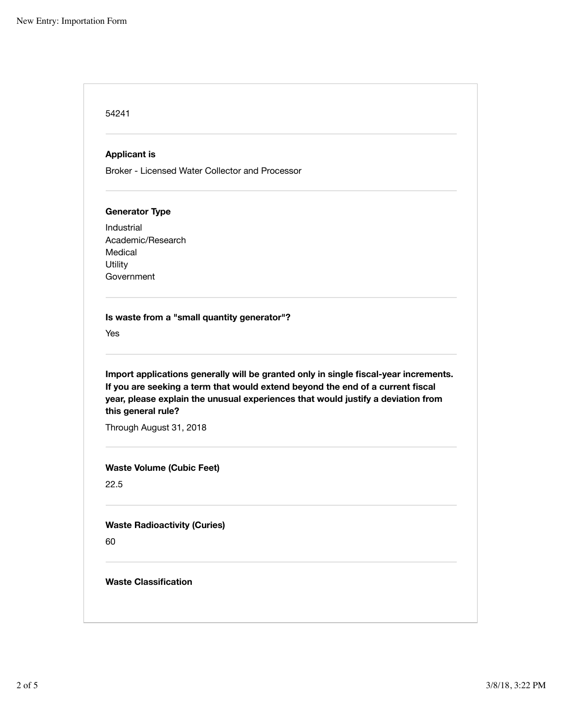| <b>Applicant is</b>               |                                                                                                                                                                                                                                                            |
|-----------------------------------|------------------------------------------------------------------------------------------------------------------------------------------------------------------------------------------------------------------------------------------------------------|
|                                   | Broker - Licensed Water Collector and Processor                                                                                                                                                                                                            |
| <b>Generator Type</b>             |                                                                                                                                                                                                                                                            |
| Industrial                        |                                                                                                                                                                                                                                                            |
| Academic/Research                 |                                                                                                                                                                                                                                                            |
| Medical                           |                                                                                                                                                                                                                                                            |
| Utility<br>Government             |                                                                                                                                                                                                                                                            |
|                                   |                                                                                                                                                                                                                                                            |
|                                   | Import applications generally will be granted only in single fiscal-year increments.<br>If you are seeking a term that would extend beyond the end of a current fiscal<br>year, please explain the unusual experiences that would justify a deviation from |
|                                   | Through August 31, 2018                                                                                                                                                                                                                                    |
|                                   | <b>Waste Volume (Cubic Feet)</b>                                                                                                                                                                                                                           |
| Yes<br>this general rule?<br>22.5 | <b>Waste Radioactivity (Curies)</b>                                                                                                                                                                                                                        |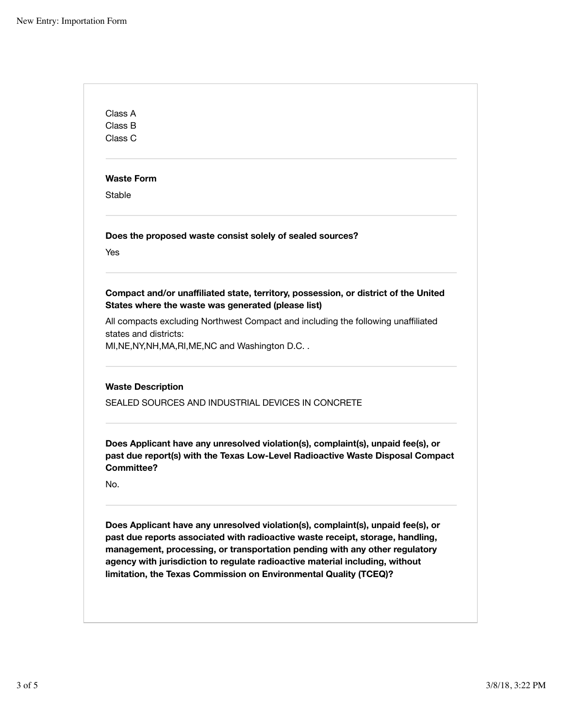Class A Class B Class C **Waste Form** Stable **Does the proposed waste consist solely of sealed sources?** Yes **Compact and/or unaffiliated state, territory, possession, or district of the United States where the waste was generated (please list)** All compacts excluding Northwest Compact and including the following unaffiliated states and districts: MI,NE,NY,NH,MA,RI,ME,NC and Washington D.C. . **Waste Description** SEALED SOURCES AND INDUSTRIAL DEVICES IN CONCRETE **Does Applicant have any unresolved violation(s), complaint(s), unpaid fee(s), or past due report(s) with the Texas Low-Level Radioactive Waste Disposal Compact Committee?** No. **Does Applicant have any unresolved violation(s), complaint(s), unpaid fee(s), or past due reports associated with radioactive waste receipt, storage, handling, management, processing, or transportation pending with any other regulatory agency with jurisdiction to regulate radioactive material including, without limitation, the Texas Commission on Environmental Quality (TCEQ)?**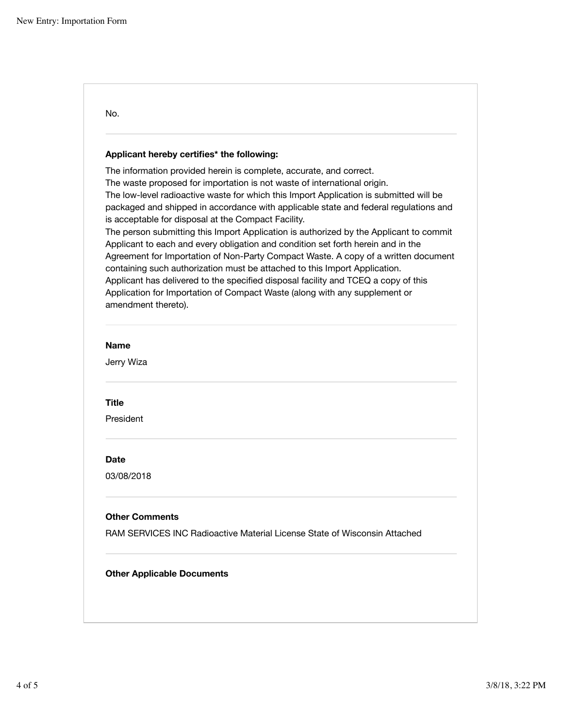|                           | Applicant hereby certifies* the following:                                                                                                                                                                                                                                                                                                                                                                                                                                                                                                                                                                                                                                                                                                                                                                                                                                                                     |
|---------------------------|----------------------------------------------------------------------------------------------------------------------------------------------------------------------------------------------------------------------------------------------------------------------------------------------------------------------------------------------------------------------------------------------------------------------------------------------------------------------------------------------------------------------------------------------------------------------------------------------------------------------------------------------------------------------------------------------------------------------------------------------------------------------------------------------------------------------------------------------------------------------------------------------------------------|
| amendment thereto).       | The information provided herein is complete, accurate, and correct.<br>The waste proposed for importation is not waste of international origin.<br>The low-level radioactive waste for which this Import Application is submitted will be<br>packaged and shipped in accordance with applicable state and federal regulations and<br>is acceptable for disposal at the Compact Facility.<br>The person submitting this Import Application is authorized by the Applicant to commit<br>Applicant to each and every obligation and condition set forth herein and in the<br>Agreement for Importation of Non-Party Compact Waste. A copy of a written document<br>containing such authorization must be attached to this Import Application.<br>Applicant has delivered to the specified disposal facility and TCEQ a copy of this<br>Application for Importation of Compact Waste (along with any supplement or |
| <b>Name</b><br>Jerry Wiza |                                                                                                                                                                                                                                                                                                                                                                                                                                                                                                                                                                                                                                                                                                                                                                                                                                                                                                                |
| Title                     |                                                                                                                                                                                                                                                                                                                                                                                                                                                                                                                                                                                                                                                                                                                                                                                                                                                                                                                |
| President                 |                                                                                                                                                                                                                                                                                                                                                                                                                                                                                                                                                                                                                                                                                                                                                                                                                                                                                                                |
| Date                      |                                                                                                                                                                                                                                                                                                                                                                                                                                                                                                                                                                                                                                                                                                                                                                                                                                                                                                                |
| 03/08/2018                |                                                                                                                                                                                                                                                                                                                                                                                                                                                                                                                                                                                                                                                                                                                                                                                                                                                                                                                |
| <b>Other Comments</b>     |                                                                                                                                                                                                                                                                                                                                                                                                                                                                                                                                                                                                                                                                                                                                                                                                                                                                                                                |
|                           | RAM SERVICES INC Radioactive Material License State of Wisconsin Attached                                                                                                                                                                                                                                                                                                                                                                                                                                                                                                                                                                                                                                                                                                                                                                                                                                      |
|                           |                                                                                                                                                                                                                                                                                                                                                                                                                                                                                                                                                                                                                                                                                                                                                                                                                                                                                                                |